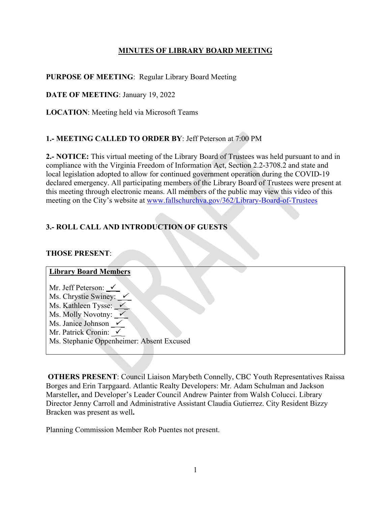## **MINUTES OF LIBRARY BOARD MEETING**

## **PURPOSE OF MEETING**: Regular Library Board Meeting

**DATE OF MEETING**: January 19, 2022

**LOCATION**: Meeting held via Microsoft Teams

## **1.- MEETING CALLED TO ORDER BY**: Jeff Peterson at 7:00 PM

**2.- NOTICE:** This virtual meeting of the Library Board of Trustees was held pursuant to and in compliance with the Virginia Freedom of Information Act, Section 2.2-3708.2 and state and local legislation adopted to allow for continued government operation during the COVID-19 declared emergency. All participating members of the Library Board of Trustees were present at this meeting through electronic means. All members of the public may view this video of this meeting on the City's website at www.fallschurchva.gov/362/Library-Board-of-Trustees

## **3.- ROLL CALL AND INTRODUCTION OF GUESTS**

### **THOSE PRESENT**:

# **Library Board Members**  Mr. Jeff Peterson:  $\checkmark$ Ms. Chrystie Swiney:  $\checkmark$ Ms. Kathleen Tysse:  $\checkmark$ Ms. Molly Novotny:  $\checkmark$ Ms. Janice Johnson  $\checkmark$ Mr. Patrick Cronin:  $\checkmark$ Ms. Stephanie Oppenheimer: Absent Excused

 **OTHERS PRESENT**: Council Liaison Marybeth Connelly, CBC Youth Representatives Raissa Borges and Erin Tarpgaard. Atlantic Realty Developers: Mr. Adam Schulman and Jackson Marsteller**,** and Developer's Leader Council Andrew Painter from Walsh Colucci. Library Director Jenny Carroll and Administrative Assistant Claudia Gutierrez. City Resident Bizzy Bracken was present as well**.** 

Planning Commission Member Rob Puentes not present.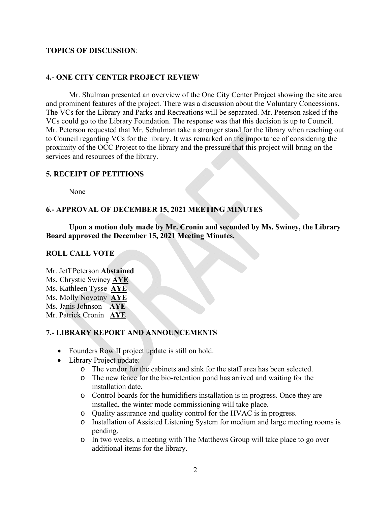### **TOPICS OF DISCUSSION**:

### **4.- ONE CITY CENTER PROJECT REVIEW**

 Mr. Shulman presented an overview of the One City Center Project showing the site area and prominent features of the project. There was a discussion about the Voluntary Concessions. The VCs for the Library and Parks and Recreations will be separated. Mr. Peterson asked if the VCs could go to the Library Foundation. The response was that this decision is up to Council. Mr. Peterson requested that Mr. Schulman take a stronger stand for the library when reaching out to Council regarding VCs for the library. It was remarked on the importance of considering the proximity of the OCC Project to the library and the pressure that this project will bring on the services and resources of the library.

## **5. RECEIPT OF PETITIONS**

None

## **6.- APPROVAL OF DECEMBER 15, 2021 MEETING MINUTES**

 **Upon a motion duly made by Mr. Cronin and seconded by Ms. Swiney, the Library Board approved the December 15, 2021 Meeting Minutes.** 

#### **ROLL CALL VOTE**

Mr. Jeff Peterson **Abstained** 

Ms. Chrystie Swiney **AYE** 

Ms. Kathleen Tysse **AYE** 

Ms. Molly Novotny **AYE**

Ms. Janis Johnson **AYE**

Mr. Patrick Cronin **AYE** 

## **7.- LIBRARY REPORT AND ANNOUNCEMENTS**

- Founders Row II project update is still on hold.
- Library Project update:
	- o The vendor for the cabinets and sink for the staff area has been selected.
	- o The new fence for the bio-retention pond has arrived and waiting for the installation date.
	- o Control boards for the humidifiers installation is in progress. Once they are installed, the winter mode commissioning will take place.
	- o Quality assurance and quality control for the HVAC is in progress.
	- o Installation of Assisted Listening System for medium and large meeting rooms is pending.
	- o In two weeks, a meeting with The Matthews Group will take place to go over additional items for the library.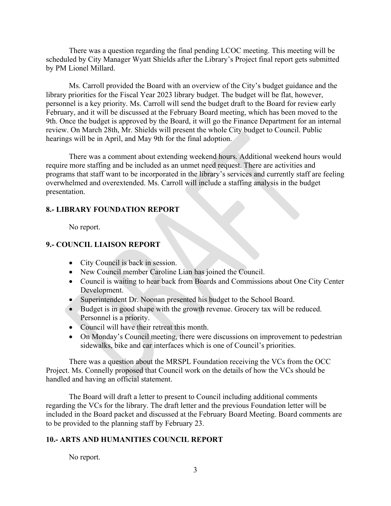There was a question regarding the final pending LCOC meeting. This meeting will be scheduled by City Manager Wyatt Shields after the Library's Project final report gets submitted by PM Lionel Millard.

 Ms. Carroll provided the Board with an overview of the City's budget guidance and the library priorities for the Fiscal Year 2023 library budget. The budget will be flat, however, personnel is a key priority. Ms. Carroll will send the budget draft to the Board for review early February, and it will be discussed at the February Board meeting, which has been moved to the 9th. Once the budget is approved by the Board, it will go the Finance Department for an internal review. On March 28th, Mr. Shields will present the whole City budget to Council. Public hearings will be in April, and May 9th for the final adoption.

 There was a comment about extending weekend hours. Additional weekend hours would require more staffing and be included as an unmet need request. There are activities and programs that staff want to be incorporated in the library's services and currently staff are feeling overwhelmed and overextended. Ms. Carroll will include a staffing analysis in the budget presentation.

## **8.- LIBRARY FOUNDATION REPORT**

No report.

## **9.- COUNCIL LIAISON REPORT**

- City Council is back in session.
- New Council member Caroline Lian has joined the Council.
- Council is waiting to hear back from Boards and Commissions about One City Center Development.
- Superintendent Dr. Noonan presented his budget to the School Board.
- Budget is in good shape with the growth revenue. Grocery tax will be reduced. Personnel is a priority.
- Council will have their retreat this month.
- On Monday's Council meeting, there were discussions on improvement to pedestrian sidewalks, bike and car interfaces which is one of Council's priorities.

 There was a question about the MRSPL Foundation receiving the VCs from the OCC Project. Ms. Connelly proposed that Council work on the details of how the VCs should be handled and having an official statement.

 The Board will draft a letter to present to Council including additional comments regarding the VCs for the library. The draft letter and the previous Foundation letter will be included in the Board packet and discussed at the February Board Meeting. Board comments are to be provided to the planning staff by February 23.

## **10.- ARTS AND HUMANITIES COUNCIL REPORT**

No report.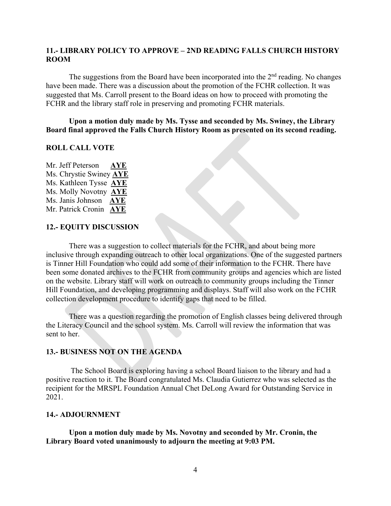### **11.- LIBRARY POLICY TO APPROVE – 2ND READING FALLS CHURCH HISTORY ROOM**

The suggestions from the Board have been incorporated into the  $2<sup>nd</sup>$  reading. No changes have been made. There was a discussion about the promotion of the FCHR collection. It was suggested that Ms. Carroll present to the Board ideas on how to proceed with promoting the FCHR and the library staff role in preserving and promoting FCHR materials.

#### **Upon a motion duly made by Ms. Tysse and seconded by Ms. Swiney, the Library Board final approved the Falls Church History Room as presented on its second reading.**

## **ROLL CALL VOTE**

Mr. Jeff Peterson **AYE**  Ms. Chrystie Swiney **AYE**  Ms. Kathleen Tysse **AYE**  Ms. Molly Novotny **AYE** Ms. Janis Johnson **AYE** Mr. Patrick Cronin **AYE** 

## **12.- EQUITY DISCUSSION**

 There was a suggestion to collect materials for the FCHR, and about being more inclusive through expanding outreach to other local organizations. One of the suggested partners is Tinner Hill Foundation who could add some of their information to the FCHR. There have been some donated archives to the FCHR from community groups and agencies which are listed on the website. Library staff will work on outreach to community groups including the Tinner Hill Foundation, and developing programming and displays. Staff will also work on the FCHR collection development procedure to identify gaps that need to be filled.

 There was a question regarding the promotion of English classes being delivered through the Literacy Council and the school system. Ms. Carroll will review the information that was sent to her.

#### **13.- BUSINESS NOT ON THE AGENDA**

 The School Board is exploring having a school Board liaison to the library and had a positive reaction to it. The Board congratulated Ms. Claudia Gutierrez who was selected as the recipient for the MRSPL Foundation Annual Chet DeLong Award for Outstanding Service in 2021.

#### **14.- ADJOURNMENT**

 **Upon a motion duly made by Ms. Novotny and seconded by Mr. Cronin, the Library Board voted unanimously to adjourn the meeting at 9:03 PM.**